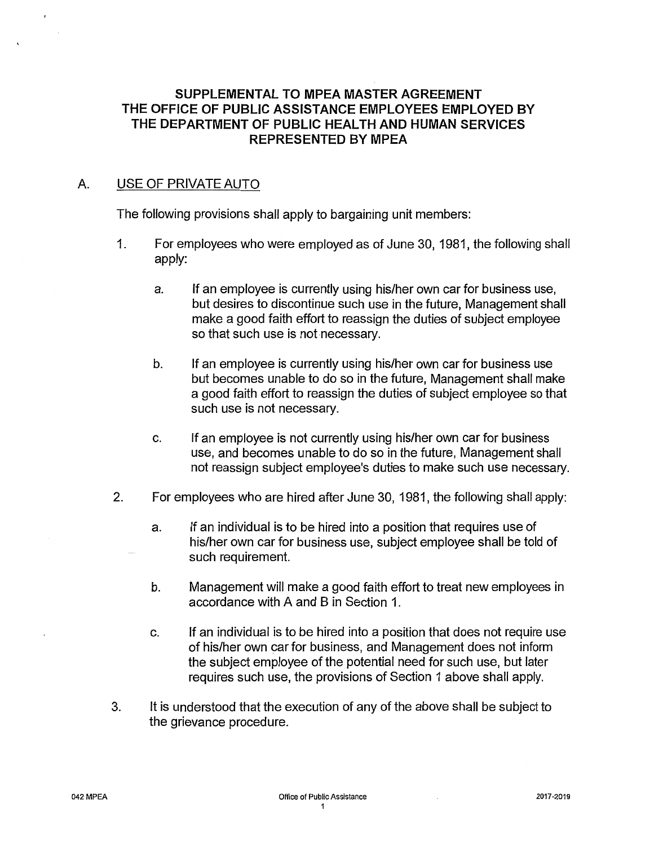# **SUPPLEMENTAL TO MPEA MASTER AGREEMENT THE OFFICE OF PUBLIC ASSISTANCE EMPLOYEES EMPLOYED BY THE DEPARTMENT OF PUBLIC HEAL TH AND HUMAN SERVICES REPRESENTED BY MPEA**

# A. USE OF PRIVATE AUTO

The following provisions shall apply to bargaining unit members:

- 1. For employees who were employed as of June 30, 1981, the following shall apply:
	- a. If an employee is currently using his/her own car for business use, but desires to discontinue such use in the future, Management shall make a good faith effort to reassign the duties of subject employee so that such use is not necessary.
	- b. If an employee is currently using his/her own car for business use but becomes unable to do so in the future, Management shall make a good faith effort to reassign the duties of subject employee so that such use is not necessary.
	- c. If an employee is not currently using his/her own car for business use, and becomes unable to do so in the future, Management shall not reassign subject employee's duties to make such use necessary.
- 2. For employees who are hired after June 30, 1981, the following shall apply:
	- a. If an individual is to be hired into a position that requires use of his/her own car for business use, subject employee shall be told of such requirement.
	- b. Management will make a good faith effort to treat new employees in accordance with A and B in Section 1.
	- c. If an individual is to be hired into a position that does not require use of his/her own car for business, and Management does not inform the subject employee of the potential need for such use, but later requires such use, the provisions of Section 1 above shall apply.
- 3. It is understood that the execution of any of the above shall be subject to the grievance procedure.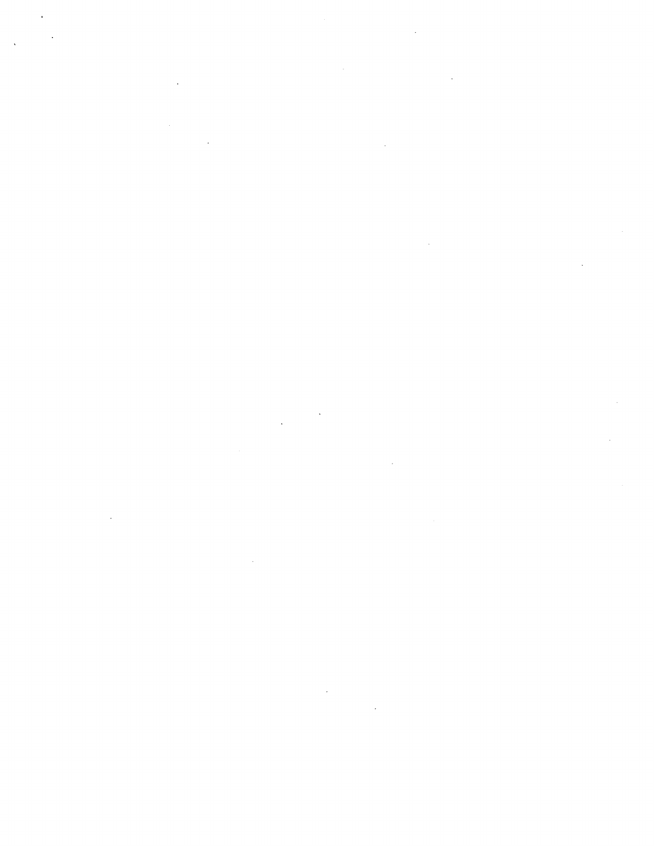$\label{eq:2.1} \mathcal{L}(\mathcal{L}(\mathcal{L})) = \mathcal{L}(\mathcal{L}(\mathcal{L})) = \mathcal{L}(\mathcal{L}(\mathcal{L})) = \mathcal{L}(\mathcal{L}(\mathcal{L}))$  $\label{eq:2} \frac{1}{\sqrt{2}}\left(\frac{1}{\sqrt{2}}\right)^2\frac{1}{\sqrt{2}}\left(\frac{1}{\sqrt{2}}\right)^2.$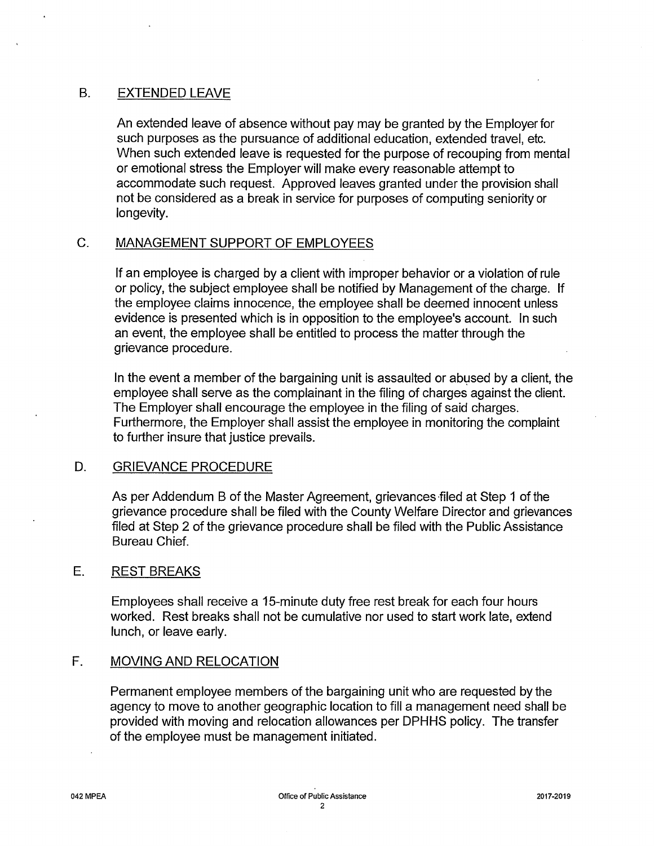# B. EXTENDED LEAVE

An extended leave of absence without pay may be granted by the Employer for such purposes as the pursuance of additional education, extended travel, etc. When such extended leave is requested for the purpose of recouping from mental or emotional stress the Employer will make every reasonable attempt to accommodate such request. Approved leaves granted under the provision shall not be considered as a break in service for purposes of computing seniority or longevity.

# C. MANAGEMENT SUPPORT OF EMPLOYEES

If an employee is charged by a client with improper behavior or a violation of rule or policy, the subject employee shall be notified by Management of the charge. If the employee claims innocence, the employee shall be deemed innocent unless evidence is presented which is in opposition to the employee's account. In such an event, the employee shall be entitled to process the matter through the grievance procedure.

In the event a member of the bargaining unit is assaulted or abused by a client, the employee shall serve as the complainant in the filing of charges against the client. The Employer shall encourage the employee in the filing of said charges. Furthermore, the Employer shall assist the employee in monitoring the complaint to further insure that justice prevails.

# D. GRIEVANCE PROCEDURE

As per Addendum B of the Master Agreement, grievances ·filed at Step 1 of the grievance procedure shall be filed with the County Welfare Director and grievances filed at Step 2 of the grievance procedure shall be filed with the Public Assistance Bureau Chief.

# E. REST BREAKS

Employees shall receive a 15-minute duty free rest break for each four hours worked. Rest breaks shall not be cumulative nor used to start work late, extend lunch, or leave early.

# F. MOVING AND RELOCATION

Permanent employee members of the bargaining unit who are requested by the agency to move to another geographic location to fill a management need shall be provided with moving and relocation allowances per DPHHS policy. The transfer of the employee must be management initiated.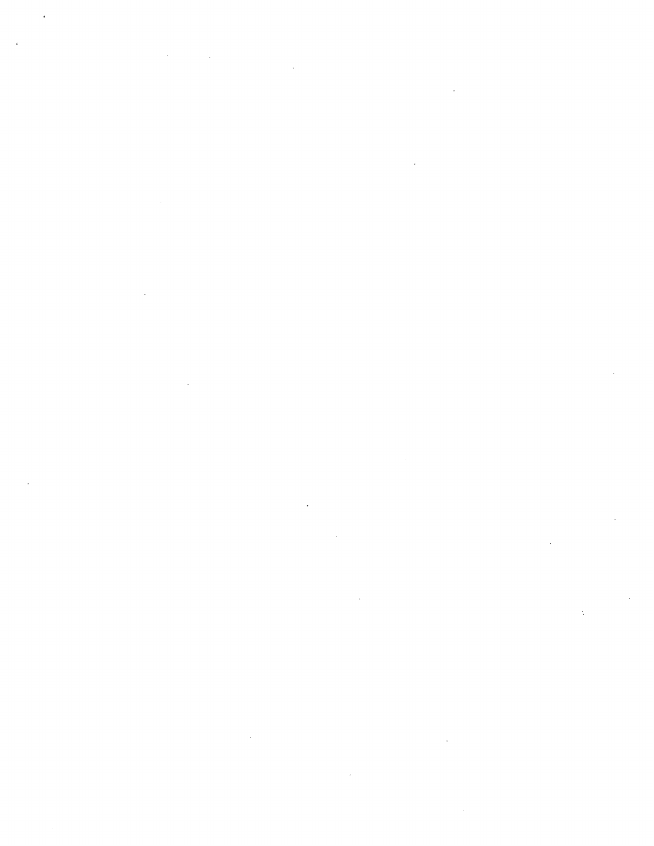$\label{eq:2.1} \frac{1}{\sqrt{2}}\left(\frac{1}{\sqrt{2}}\right)^{2} \left(\frac{1}{\sqrt{2}}\right)^{2} \left(\frac{1}{\sqrt{2}}\right)^{2} \left(\frac{1}{\sqrt{2}}\right)^{2} \left(\frac{1}{\sqrt{2}}\right)^{2} \left(\frac{1}{\sqrt{2}}\right)^{2} \left(\frac{1}{\sqrt{2}}\right)^{2} \left(\frac{1}{\sqrt{2}}\right)^{2} \left(\frac{1}{\sqrt{2}}\right)^{2} \left(\frac{1}{\sqrt{2}}\right)^{2} \left(\frac{1}{\sqrt{2}}\right)^{2} \left(\$ 

 $\label{eq:2.1} \frac{1}{\sqrt{2}}\int_{\mathbb{R}^3}\frac{1}{\sqrt{2}}\left(\frac{1}{\sqrt{2}}\right)^2\frac{1}{\sqrt{2}}\left(\frac{1}{\sqrt{2}}\right)^2\frac{1}{\sqrt{2}}\left(\frac{1}{\sqrt{2}}\right)^2\frac{1}{\sqrt{2}}\left(\frac{1}{\sqrt{2}}\right)^2\frac{1}{\sqrt{2}}\left(\frac{1}{\sqrt{2}}\right)^2\frac{1}{\sqrt{2}}\frac{1}{\sqrt{2}}\frac{1}{\sqrt{2}}\frac{1}{\sqrt{2}}\frac{1}{\sqrt{2}}\frac{1}{\sqrt{2}}$  $\label{eq:2.1} \mathcal{L}_{\mathcal{A}}(\mathcal{A}) = \mathcal{L}_{\mathcal{A}}(\mathcal{A}) \otimes \mathcal{L}_{\mathcal{A}}(\mathcal{A})$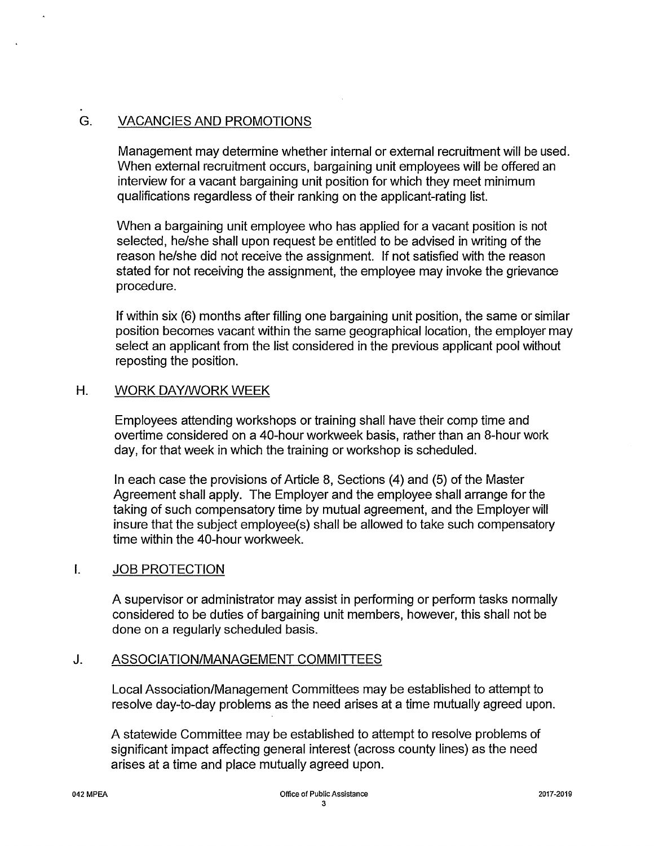# G. VACANCIES AND PROMOTIONS

Management may determine whether internal or external recruitment will be used. When external recruitment occurs, bargaining unit employees will be offered an interview for a vacant bargaining unit position for which they meet minimum qualifications regardless of their ranking on the applicant-rating list.

When a bargaining unit employee who has applied for a vacant position is not selected, he/she shall upon request be entitled to be advised in writing of the reason he/she did not receive the assignment. If not satisfied with the reason stated for not receiving the assignment, the employee may invoke the grievance procedure.

If within six (6) months after filling one bargaining unit position, the same or similar position becomes vacant within the same geographical location, the employer may select an applicant from the list considered in the previous applicant pool without reposting the position.

#### H. WORK DAY/WORK WEEK

Employees attending workshops or training shall have their comp time and overtime considered on a 40-hour workweek basis, rather than an 8-hour work day, for that week in which the training or workshop is scheduled.

In each case the provisions of Article 8, Sections (4) and (5) of the Master Agreement shall apply. The Employer and the employee shall arrange for the taking of such compensatory time by mutual agreement, and the Employer will insure that the subject employee(s) shall be allowed to take such compensatory time within the 40-hour workweek.

# I. JOB PROTECTION

A supervisor or administrator may assist in performing or perform tasks normally considered to be duties of bargaining unit members, however, this shall not be done on a regularly scheduled basis.

# J. ASSOCIATION/MANAGEMENT COMMITIEES

Local Association/Management Committees may be established to attempt to resolve day-to-day problems as the need arises at a time mutually agreed upon.

A statewide Committee may be established to attempt to resolve problems of significant impact affecting general interest (across county lines) as the need arises at a time and place mutually agreed upon.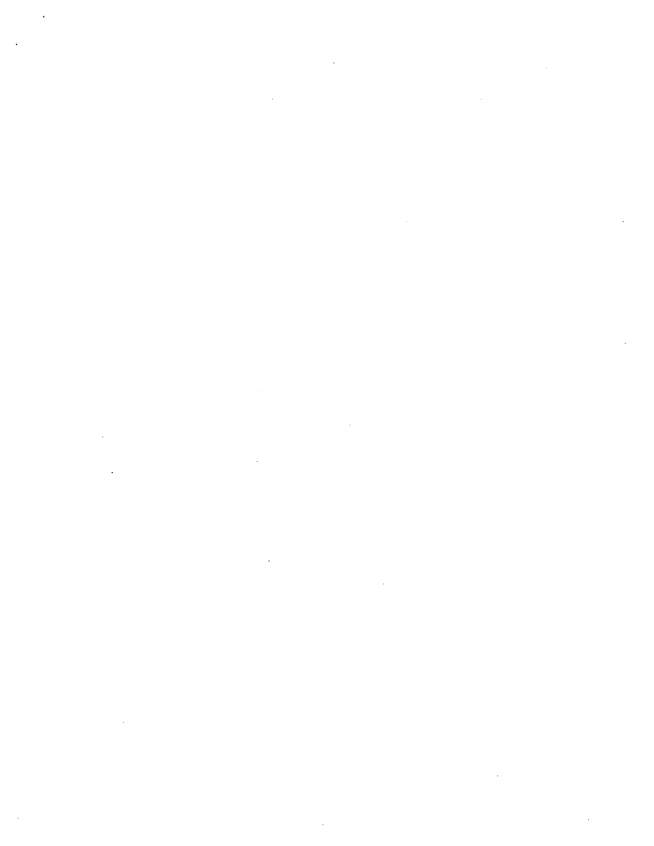and the control of the control of the control of the control of the control of

 $\label{eq:2.1} \mathcal{L}(\mathcal{L}^{\mathcal{L}}_{\mathcal{L}}(\mathcal{L}^{\mathcal{L}}_{\mathcal{L}})) = \mathcal{L}(\mathcal{L}^{\mathcal{L}}_{\mathcal{L}}(\mathcal{L}^{\mathcal{L}}_{\mathcal{L}})) = \mathcal{L}(\mathcal{L}^{\mathcal{L}}_{\mathcal{L}}(\mathcal{L}^{\mathcal{L}}_{\mathcal{L}}))$ 

 $\label{eq:2.1} \frac{1}{\sqrt{2}}\int_{\mathbb{R}^3}\frac{1}{\sqrt{2}}\left(\frac{1}{\sqrt{2}}\right)^2\frac{1}{\sqrt{2}}\left(\frac{1}{\sqrt{2}}\right)^2\frac{1}{\sqrt{2}}\left(\frac{1}{\sqrt{2}}\right)^2\frac{1}{\sqrt{2}}\left(\frac{1}{\sqrt{2}}\right)^2\frac{1}{\sqrt{2}}\left(\frac{1}{\sqrt{2}}\right)^2\frac{1}{\sqrt{2}}\frac{1}{\sqrt{2}}\frac{1}{\sqrt{2}}\frac{1}{\sqrt{2}}\frac{1}{\sqrt{2}}\frac{1}{\sqrt{2}}$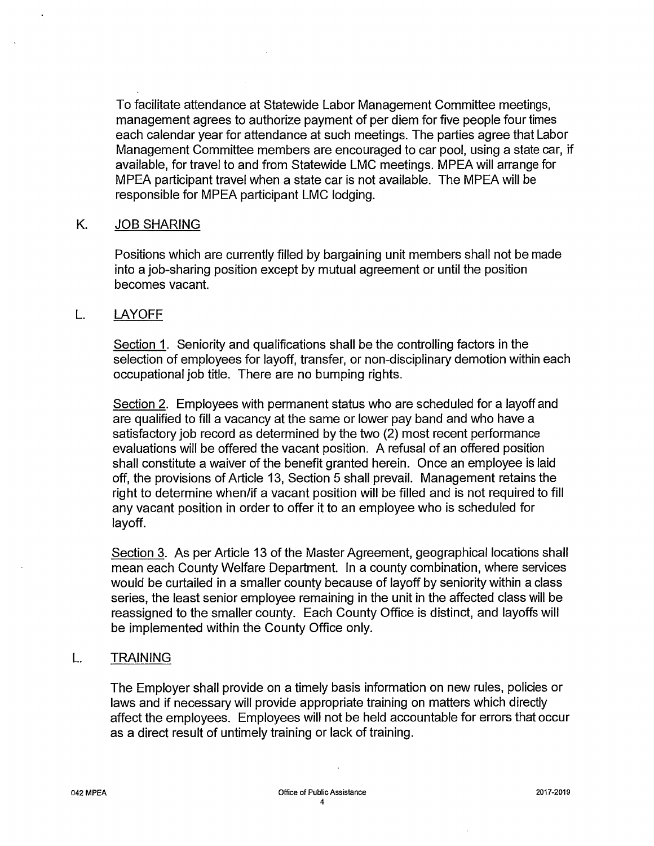To facilitate attendance at Statewide Labor Management Committee meetings, management agrees to authorize payment of per diem for five people four times each calendar year for attendance at such meetings. The parties agree that Labor Management Committee members are encouraged to car pool, using a state car, if available, for travel to and from Statewide LMC meetings. MPEA will arrange for MPEA participant travel when a state car is not available. The MPEA will be responsible for MPEA participant LMC lodging.

#### K. JOB SHARING

Positions which are currently filled by bargaining unit members shall not be made into a job-sharing position except by mutual agreement or until the position becomes vacant.

#### L. LAYOFF

Section 1. Seniority and qualifications shall be the controlling factors in the selection of employees for layoff, transfer, or non-disciplinary demotion within each occupational job title. There are no bumping rights.

Section 2. Employees with permanent status who are scheduled for a layoff and are qualified to fill a vacancy at the same or lower pay band and who have a satisfactory job record as determined by the two (2) most recent performance evaluations will be offered the vacant position. A refusal of an offered position shall constitute a waiver of the benefit granted herein. Once an employee is laid off, the provisions of Article 13, Section 5 shall prevail. Management retains the right to determine when/if a vacant position will be filled and is not required to fill any vacant position in order to offer it to an employee who is scheduled for layoff.

Section 3. As per Article 13 of the Master Agreement, geographical locations shall mean each County Welfare Department. In a county combination, where services would be curtailed in a smaller county because of layoff by seniority within a class series, the least senior employee remaining in the unit in the affected class will be reassigned to the smaller county. Each County Office is distinct, and layoffs will be implemented within the County Office only.

#### L. **TRAINING**

The Employer shall provide on a timely basis information on new rules, policies or laws and if necessary will provide appropriate training on matters which directly affect the employees. Employees will not be held accountable for errors that occur as a direct result of untimely training or lack of training.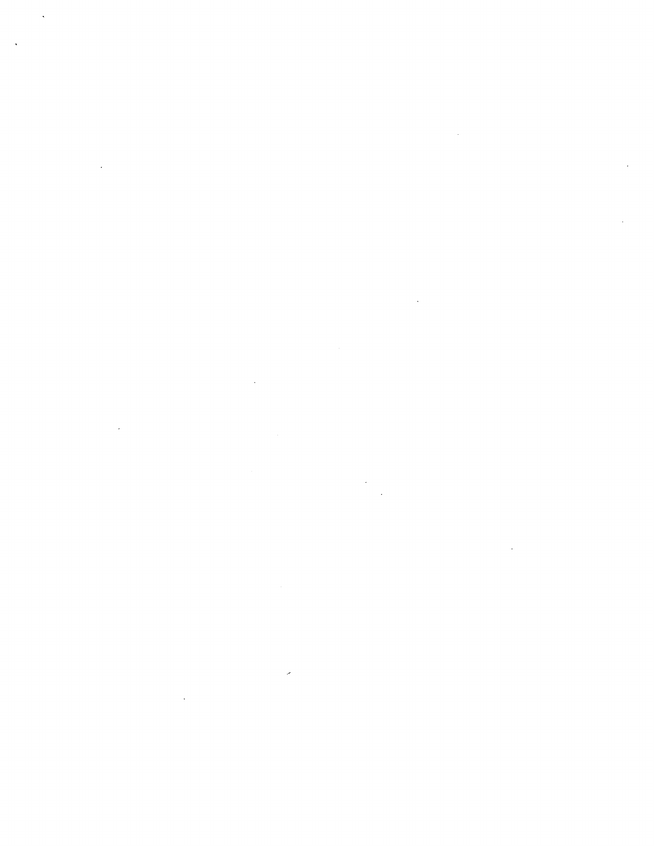$\label{eq:2.1} \frac{1}{\sqrt{2}}\int_{\mathbb{R}^3} \frac{1}{\sqrt{2}}\left(\frac{1}{\sqrt{2}}\right)^2\frac{1}{\sqrt{2}}\left(\frac{1}{\sqrt{2}}\right)^2\frac{1}{\sqrt{2}}\left(\frac{1}{\sqrt{2}}\right)^2\frac{1}{\sqrt{2}}\left(\frac{1}{\sqrt{2}}\right)^2.$ 

 $\label{eq:2.1} \mathcal{L}_{\mathcal{A}}(\mathcal{A}) = \mathcal{L}_{\mathcal{A}}(\mathcal{A}) = \mathcal{L}_{\mathcal{A}}(\mathcal{A})$  $\label{eq:2.1} \frac{1}{\sqrt{2\pi}}\int_{\mathbb{R}^3}\frac{1}{\sqrt{2\pi}}\left(\frac{1}{\sqrt{2\pi}}\right)^2\frac{1}{\sqrt{2\pi}}\int_{\mathbb{R}^3}\frac{1}{\sqrt{2\pi}}\frac{1}{\sqrt{2\pi}}\frac{1}{\sqrt{2\pi}}\frac{1}{\sqrt{2\pi}}\frac{1}{\sqrt{2\pi}}\frac{1}{\sqrt{2\pi}}\frac{1}{\sqrt{2\pi}}\frac{1}{\sqrt{2\pi}}\frac{1}{\sqrt{2\pi}}\frac{1}{\sqrt{2\pi}}\frac{1}{\sqrt{2\pi}}\frac{$ 

 $\label{eq:2.1} \frac{1}{\sqrt{2}}\sum_{i=1}^n\frac{1}{\sqrt{2}}\sum_{i=1}^n\frac{1}{\sqrt{2}}\sum_{i=1}^n\frac{1}{\sqrt{2}}\sum_{i=1}^n\frac{1}{\sqrt{2}}\sum_{i=1}^n\frac{1}{\sqrt{2}}\sum_{i=1}^n\frac{1}{\sqrt{2}}\sum_{i=1}^n\frac{1}{\sqrt{2}}\sum_{i=1}^n\frac{1}{\sqrt{2}}\sum_{i=1}^n\frac{1}{\sqrt{2}}\sum_{i=1}^n\frac{1}{\sqrt{2}}\sum_{i=1}^n\frac$ 

 $\label{eq:2.1} \frac{1}{\sqrt{2}}\int_{\mathbb{R}^3}\frac{1}{\sqrt{2}}\left(\frac{1}{\sqrt{2}}\right)^2\frac{1}{\sqrt{2}}\left(\frac{1}{\sqrt{2}}\right)^2\frac{1}{\sqrt{2}}\left(\frac{1}{\sqrt{2}}\right)^2\frac{1}{\sqrt{2}}\left(\frac{1}{\sqrt{2}}\right)^2.$ 

 $\sim 10^{-1}$ 

 $\mathcal{L}(\mathcal{L}(\mathcal{L}(\mathcal{L}(\mathcal{L}(\mathcal{L}(\mathcal{L}(\mathcal{L}(\mathcal{L}(\mathcal{L}(\mathcal{L}(\mathcal{L}(\mathcal{L}(\mathcal{L}(\mathcal{L}(\mathcal{L}(\mathcal{L}(\mathcal{L}(\mathcal{L}(\mathcal{L}(\mathcal{L}(\mathcal{L}(\mathcal{L}(\mathcal{L}(\mathcal{L}(\mathcal{L}(\mathcal{L}(\mathcal{L}(\mathcal{L}(\mathcal{L}(\mathcal{L}(\mathcal{L}(\mathcal{L}(\mathcal{L}(\mathcal{L}(\mathcal{L}(\mathcal{$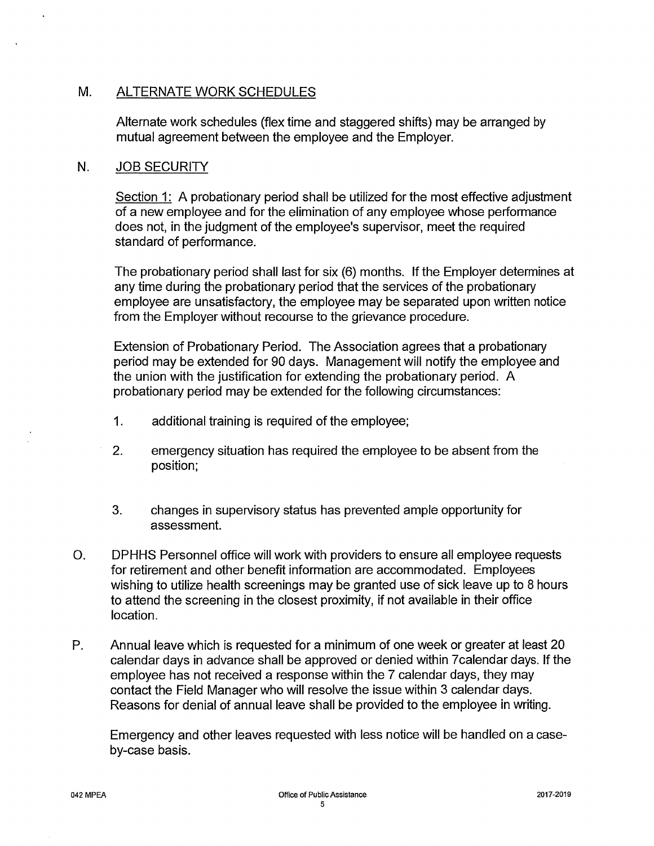# M. ALTERNATE WORK SCHEDULES

Alternate work schedules (flex time and staggered shifts) may be arranged by mutual agreement between the employee and the Employer.

#### N. JOB SECURITY

Section 1: A probationary period shall be utilized for the most effective adjustment of a new employee and for the elimination of any employee whose performance does not, in the judgment of the employee's supervisor, meet the required standard of performance.

The probationary period shall last for six (6) months. If the Employer determines at any time during the probationary period that the services of the probationary employee are unsatisfactory, the employee may be separated upon written notice from the Employer without recourse to the grievance procedure.

Extension of Probationary Period. The Association agrees that a probationary period may be extended for 90 days. Management will notify the employee and the union with the justification for extending the probationary period. A probationary period may be extended for the following circumstances:

- 1. additional training is required of the employee;
- 2. emergency situation has required the employee to be absent from the position;
- 3. changes in supervisory status has prevented ample opportunity for assessment.
- 0. DPHHS Personnel office will work with providers to ensure all employee requests for retirement and other benefit information are accommodated. Employees wishing to utilize health screenings may be granted use of sick leave up to 8 hours to attend the screening in the closest proximity, if not available in their office location.
- P. Annual leave which is requested for a minimum of one week or greater at least 20 calendar days in advance shall be approved or denied within 7 calendar days. If the employee has not received a response within the 7 calendar days, they may contact the Field Manager who will resolve the issue within 3 calendar days. Reasons for denial of annual leave shall be provided to the employee in writing.

Emergency and other leaves requested with less notice will be handled on a caseby-case basis.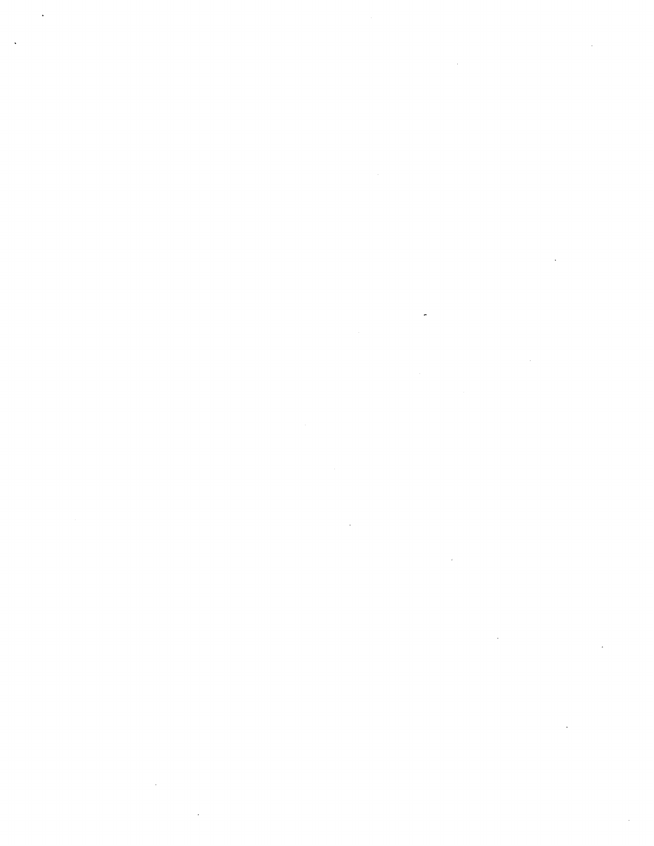$\label{eq:2} \frac{1}{\sqrt{2}}\left(\frac{1}{\sqrt{2}}\right)^{2} \left(\frac{1}{\sqrt{2}}\right)^{2}$  $\label{eq:2.1} \frac{1}{2} \sum_{i=1}^n \frac{1}{2} \sum_{j=1}^n \frac{1}{2} \sum_{j=1}^n \frac{1}{2} \sum_{j=1}^n \frac{1}{2} \sum_{j=1}^n \frac{1}{2} \sum_{j=1}^n \frac{1}{2} \sum_{j=1}^n \frac{1}{2} \sum_{j=1}^n \frac{1}{2} \sum_{j=1}^n \frac{1}{2} \sum_{j=1}^n \frac{1}{2} \sum_{j=1}^n \frac{1}{2} \sum_{j=1}^n \frac{1}{2} \sum_{j=1}^n \frac{$  $\label{eq:2.1} \frac{1}{\sqrt{2}}\int_{\mathbb{R}^3}\frac{1}{\sqrt{2}}\left(\frac{1}{\sqrt{2}}\right)^2\frac{1}{\sqrt{2}}\left(\frac{1}{\sqrt{2}}\right)^2\frac{1}{\sqrt{2}}\left(\frac{1}{\sqrt{2}}\right)^2\frac{1}{\sqrt{2}}\left(\frac{1}{\sqrt{2}}\right)^2.$  $\label{eq:2.1} \frac{1}{\sqrt{2}}\int_{\mathbb{R}^3}\frac{1}{\sqrt{2}}\left(\frac{1}{\sqrt{2}}\right)^2\frac{1}{\sqrt{2}}\left(\frac{1}{\sqrt{2}}\right)^2\frac{1}{\sqrt{2}}\left(\frac{1}{\sqrt{2}}\right)^2\frac{1}{\sqrt{2}}\left(\frac{1}{\sqrt{2}}\right)^2.$ 

 $\label{eq:2.1} \mathcal{L}(\mathcal{L}^{\text{max}}_{\mathcal{L}}(\mathcal{L}^{\text{max}}_{\mathcal{L}})) \leq \mathcal{L}(\mathcal{L}^{\text{max}}_{\mathcal{L}}(\mathcal{L}^{\text{max}}_{\mathcal{L}}))$ 

 $\mathcal{L}(\mathcal{L}^{\text{max}}_{\mathcal{L}})$  ,  $\mathcal{L}^{\text{max}}_{\mathcal{L}}$  ,  $\mathcal{L}^{\text{max}}_{\mathcal{L}}$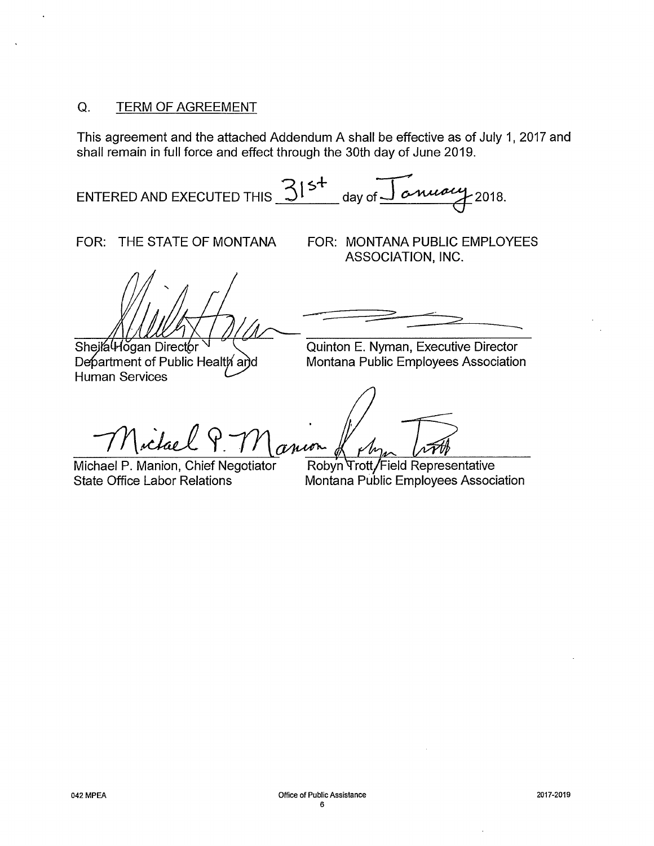# Q. TERM OF AGREEMENT

This agreement and the attached Addendum A shall be effective as of July 1, 2017 and shall remain in full force and effect through the 30th day of June 2019.

 $\frac{315^{+}}{4}$  day of  $\frac{1}{2018}$ FOR: THE STATE OF MONTANA FOR: MONTANA PUBLIC EMPLOYEES ASSOCIATION, INC. ~c:::::::- -~~-~-\_\_:::::,- ---==----Shejla<sup>4</sup>Hogan Director Quinton E. Nyman, Executive Director Department of Public Health and Montana Public Employees Association Human Services ichae Robyn Trott/Field Representative Michael P. Manion, Chief Negotiator State Office Labor Relations Montana Public Employees Association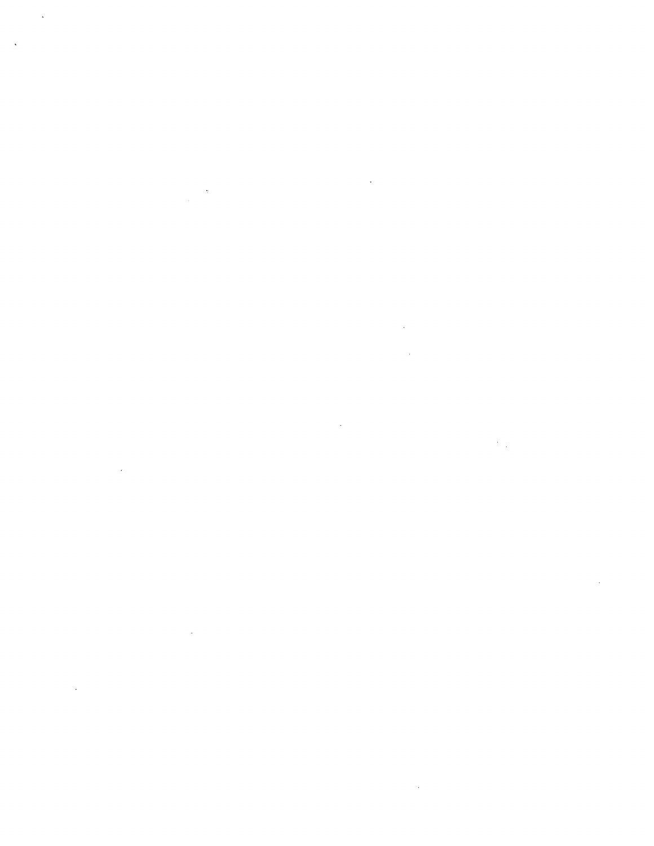$\sim 10^{-10}$ 

 $\sim 10^{-11}$ 

 $\label{eq:2.1} \frac{1}{\sqrt{2}}\int_{0}^{\infty}\frac{1}{\sqrt{2\pi}}\left(\frac{1}{\sqrt{2\pi}}\right)^{2}d\mu\int_{0}^{\infty}\frac{1}{\sqrt{2\pi}}\left(\frac{1}{\sqrt{2\pi}}\right)^{2}d\mu\int_{0}^{\infty}\frac{1}{\sqrt{2\pi}}\frac{1}{\sqrt{2\pi}}\frac{1}{\sqrt{2\pi}}\frac{1}{\sqrt{2\pi}}\frac{1}{\sqrt{2\pi}}\frac{1}{\sqrt{2\pi}}\frac{1}{\sqrt{2\pi}}\frac{1}{\sqrt{2\pi}}\frac{1}{\sqrt{$  $\label{eq:2.1} \frac{1}{\sqrt{2}}\left(\frac{1}{\sqrt{2}}\right)^{2} \left(\frac{1}{\sqrt{2}}\right)^{2} \left(\frac{1}{\sqrt{2}}\right)^{2} \left(\frac{1}{\sqrt{2}}\right)^{2} \left(\frac{1}{\sqrt{2}}\right)^{2} \left(\frac{1}{\sqrt{2}}\right)^{2} \left(\frac{1}{\sqrt{2}}\right)^{2} \left(\frac{1}{\sqrt{2}}\right)^{2} \left(\frac{1}{\sqrt{2}}\right)^{2} \left(\frac{1}{\sqrt{2}}\right)^{2} \left(\frac{1}{\sqrt{2}}\right)^{2} \left(\$ 

 $\label{eq:2.1} \mathcal{L}(\mathcal{L}^{\mathcal{L}}_{\mathcal{L}}(\mathcal{L}^{\mathcal{L}}_{\mathcal{L}}))\leq \mathcal{L}(\mathcal{L}^{\mathcal{L}}_{\mathcal{L}}(\mathcal{L}^{\mathcal{L}}_{\mathcal{L}}))\leq \mathcal{L}(\mathcal{L}^{\mathcal{L}}_{\mathcal{L}}(\mathcal{L}^{\mathcal{L}}_{\mathcal{L}}))$ 

 $\mathcal{L}(\mathcal{L}^{\mathcal{L}})$  and  $\mathcal{L}^{\mathcal{L}}$  . The set of  $\mathcal{L}^{\mathcal{L}}$ 

 $\label{eq:2.1} \frac{1}{\sqrt{2}}\int_{\mathbb{R}^3}\frac{1}{\sqrt{2}}\left(\frac{1}{\sqrt{2}}\right)^2\frac{1}{\sqrt{2}}\left(\frac{1}{\sqrt{2}}\right)^2\frac{1}{\sqrt{2}}\left(\frac{1}{\sqrt{2}}\right)^2\frac{1}{\sqrt{2}}\left(\frac{1}{\sqrt{2}}\right)^2.$  $\label{eq:2.1} \frac{1}{\sqrt{2}}\left(\frac{1}{\sqrt{2}}\right)^{2} \left(\frac{1}{\sqrt{2}}\right)^{2} \left(\frac{1}{\sqrt{2}}\right)^{2} \left(\frac{1}{\sqrt{2}}\right)^{2} \left(\frac{1}{\sqrt{2}}\right)^{2} \left(\frac{1}{\sqrt{2}}\right)^{2} \left(\frac{1}{\sqrt{2}}\right)^{2} \left(\frac{1}{\sqrt{2}}\right)^{2} \left(\frac{1}{\sqrt{2}}\right)^{2} \left(\frac{1}{\sqrt{2}}\right)^{2} \left(\frac{1}{\sqrt{2}}\right)^{2} \left(\$ 

 $\label{eq:2.1} \mathcal{L}(\mathcal{L}^{\text{max}}_{\mathcal{L}}(\mathcal{L}^{\text{max}}_{\mathcal{L}}))\leq \mathcal{L}(\mathcal{L}^{\text{max}}_{\mathcal{L}}(\mathcal{L}^{\text{max}}_{\mathcal{L}}))$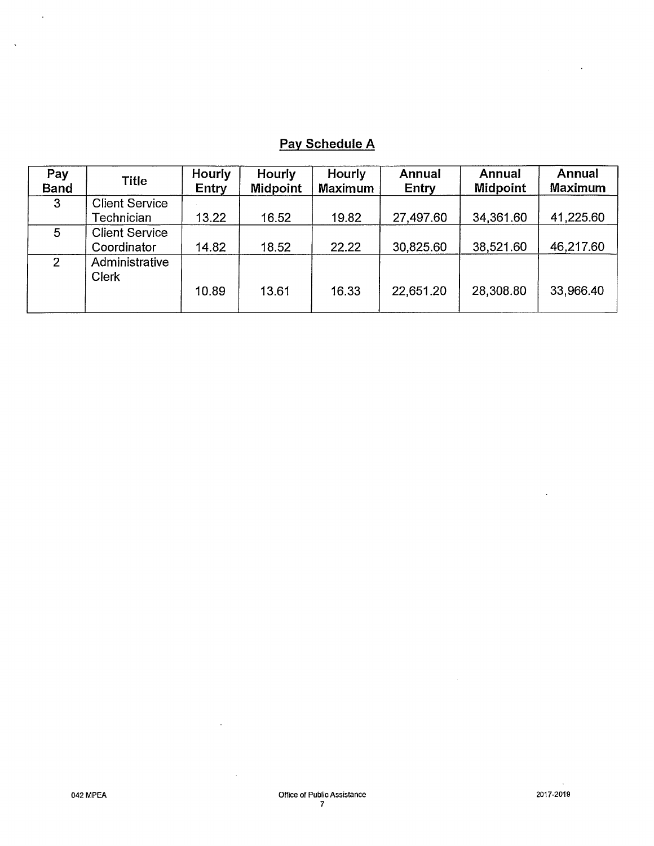# **Pay Schedule A**

| Pay<br><b>Band</b> | <b>Title</b>          | Hourly<br>Entry | Hourly<br><b>Midpoint</b> | <b>Hourly</b><br>Maximum | Annual<br>Entry | Annual<br><b>Midpoint</b> | Annual<br><b>Maximum</b> |
|--------------------|-----------------------|-----------------|---------------------------|--------------------------|-----------------|---------------------------|--------------------------|
| 3                  | <b>Client Service</b> |                 |                           |                          |                 |                           |                          |
|                    | Technician            | 13.22           | 16.52                     | 19.82                    | 27,497.60       | 34,361.60                 | 41,225.60                |
| 5                  | <b>Client Service</b> |                 |                           |                          |                 |                           |                          |
|                    | Coordinator           | 14.82           | 18.52                     | 22.22                    | 30,825.60       | 38,521.60                 | 46,217.60                |
| 2                  | Administrative        |                 |                           |                          |                 |                           |                          |
|                    | <b>Clerk</b>          |                 |                           |                          |                 |                           |                          |
|                    |                       | 10.89           | 13.61                     | 16.33                    | 22,651.20       | 28,308.80                 | 33,966.40                |
|                    |                       |                 |                           |                          |                 |                           |                          |

 $\mathcal{A}$ 

 $\sim$   $\sim$ 

 $\bar{\mathcal{A}}$ 

 $\bar{\mathcal{A}}$ 

 $\sim$ 

 $\ddot{\phantom{1}}$ 

 $\sim 10$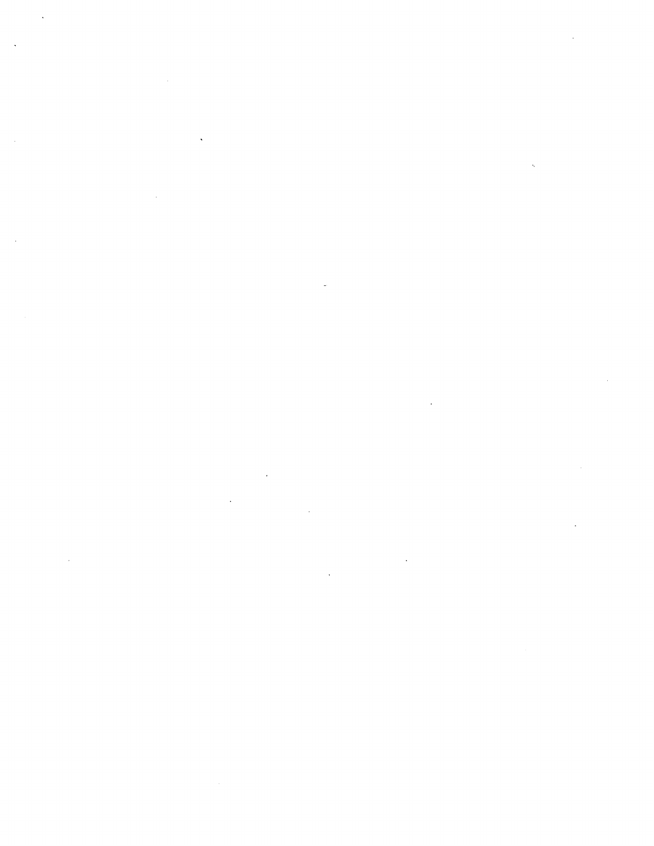$\sim$  $\label{eq:2.1} \mathcal{L}_{\mathcal{A}}(\mathcal{A}) = \mathcal{L}_{\mathcal{A}}(\mathcal{A}) \mathcal{L}_{\mathcal{A}}(\mathcal{A})$  $\label{eq:2.1} \frac{1}{2} \sum_{i=1}^n \frac{1}{2} \sum_{j=1}^n \frac{1}{2} \sum_{j=1}^n \frac{1}{2} \sum_{j=1}^n \frac{1}{2} \sum_{j=1}^n \frac{1}{2} \sum_{j=1}^n \frac{1}{2} \sum_{j=1}^n \frac{1}{2} \sum_{j=1}^n \frac{1}{2} \sum_{j=1}^n \frac{1}{2} \sum_{j=1}^n \frac{1}{2} \sum_{j=1}^n \frac{1}{2} \sum_{j=1}^n \frac{1}{2} \sum_{j=1}^n \frac{$  $\label{eq:2.1} \mathcal{L}_{\mathcal{A}}(x) = \mathcal{L}_{\mathcal{A}}(x) \mathcal{L}_{\mathcal{A}}(x) \mathcal{L}_{\mathcal{A}}(x)$  $\label{eq:2.1} \frac{1}{\sqrt{2}}\int_{\mathbb{R}^3}\frac{1}{\sqrt{2}}\left(\frac{1}{\sqrt{2}}\right)^2\frac{1}{\sqrt{2}}\left(\frac{1}{\sqrt{2}}\right)^2\frac{1}{\sqrt{2}}\left(\frac{1}{\sqrt{2}}\right)^2\frac{1}{\sqrt{2}}\left(\frac{1}{\sqrt{2}}\right)^2\frac{1}{\sqrt{2}}\left(\frac{1}{\sqrt{2}}\right)^2\frac{1}{\sqrt{2}}\frac{1}{\sqrt{2}}\frac{1}{\sqrt{2}}\frac{1}{\sqrt{2}}\frac{1}{\sqrt{2}}\frac{1}{\sqrt{2}}$  $\mathcal{L}_{\text{max}}$  and  $\mathcal{L}_{\text{max}}$  $\label{eq:2.1} \frac{1}{\sqrt{2}}\int_{\mathbb{R}^3}\frac{1}{\sqrt{2}}\left(\frac{1}{\sqrt{2}}\right)^2\frac{1}{\sqrt{2}}\left(\frac{1}{\sqrt{2}}\right)^2\frac{1}{\sqrt{2}}\left(\frac{1}{\sqrt{2}}\right)^2\frac{1}{\sqrt{2}}\left(\frac{1}{\sqrt{2}}\right)^2\frac{1}{\sqrt{2}}\left(\frac{1}{\sqrt{2}}\right)^2\frac{1}{\sqrt{2}}\frac{1}{\sqrt{2}}\frac{1}{\sqrt{2}}\frac{1}{\sqrt{2}}\frac{1}{\sqrt{2}}\frac{1}{\sqrt{2}}$  $\label{eq:2.1} \frac{1}{\sqrt{2}}\left(\frac{1}{\sqrt{2}}\right)^{2} \left(\frac{1}{\sqrt{2}}\right)^{2} \left(\frac{1}{\sqrt{2}}\right)^{2}$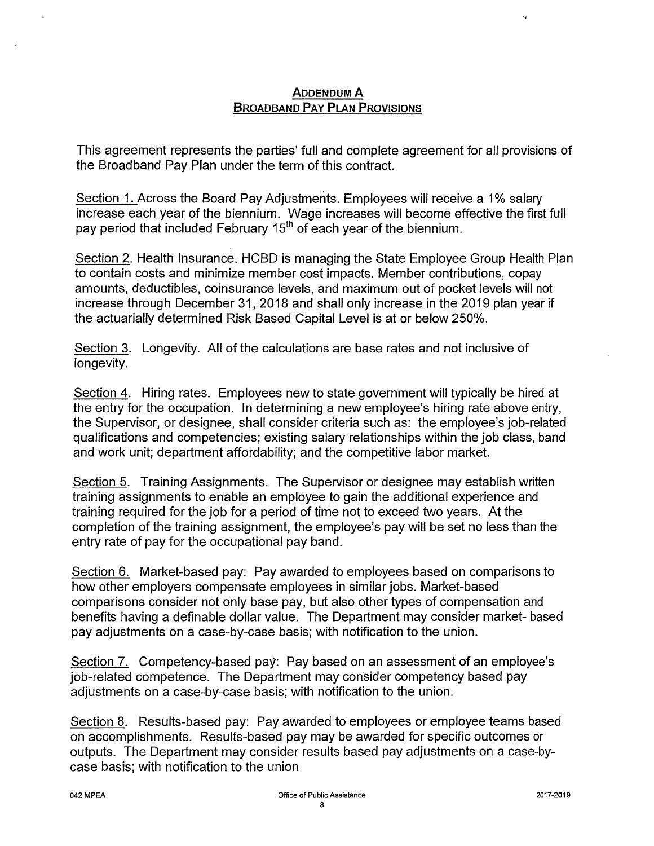## **ADDENDUM A BROADBAND PAY PLAN PROVISIONS**

This agreement represents the parties' full and complete agreement for all provisions of the Broadband Pay Plan under the term of this contract.

Section 1. Across the Board Pay Adjustments. Employees will receive a 1% salary increase each year of the biennium. Wage increases will become effective the first full pay period that included February 15<sup>th</sup> of each year of the biennium.

Section 2. Health Insurance. HCBD is managing the State Employee Group Health Plan to contain costs and minimize member cost impacts. Member contributions, copay amounts, deductibles, coinsurance levels, and maximum out of pocket levels will not increase through December 31, 2018 and shall only increase in the 2019 plan year if the actuarially determined Risk Based Capital Level is at or below 250%.

Section 3. Longevity. All of the calculations are base rates and not inclusive of longevity.

Section 4. Hiring rates. Employees new to state government will typically be hired at the entry for the occupation. In determining a new employee's hiring rate above entry, the Supervisor, or designee, shall consider criteria such as: the employee's job-related qualifications and competencies; existing salary relationships within the job class, band and work unit; department affordability; and the competitive labor market.

Section 5. Training Assignments. The Supervisor or designee may establish written training assignments to enable an employee to gain the additional experience and training required for the job for a period of time not to exceed two years. At the completion of the training assignment, the employee's pay will be set no less than the entry rate of pay for the occupational pay band.

Section 6. Market-based pay: Pay awarded to employees based on comparisons to how other employers compensate employees in similar jobs. Market-based comparisons consider not only base pay, but also other types of compensation and benefits having a definable dollar value. The Department may consider market- based pay adjustments on a case-by-case basis; with notification to the union.

Section 7. Competency-based pay: Pay based on an assessment of an employee's job-related competence. The Department may consider competency based pay adjustments on a case-by-case basis; with notification to the union.

Section 8. Results-based pay: Pay awarded to employees or employee teams based on accomplishments. Results-based pay may be awarded for specific outcomes or outputs. The Department may consider results based pay adjustments on a case-bycase basis; with notification to the union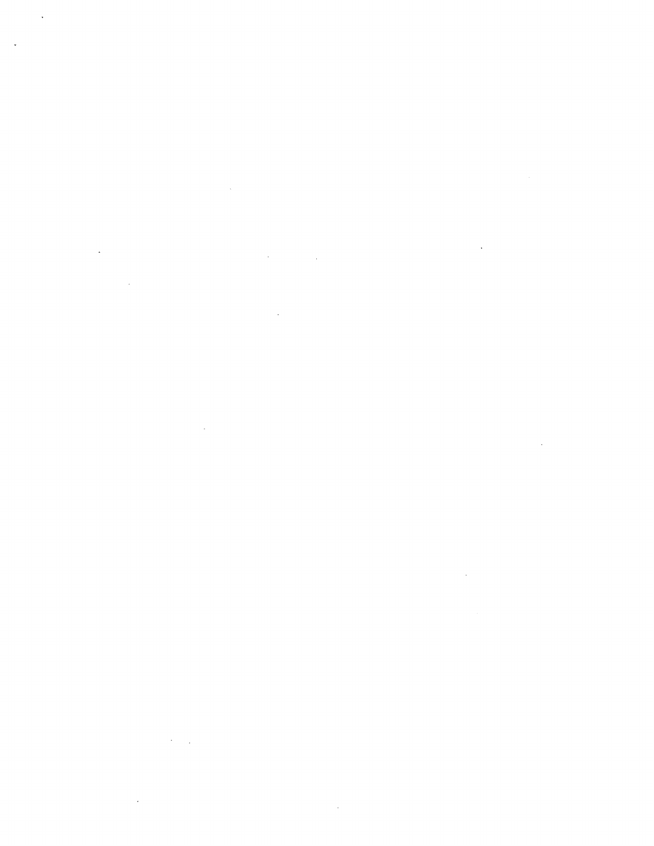$\sim 10^{11}$  km s  $^{-1}$ 

 $\label{eq:2.1} \frac{1}{\sqrt{2}}\int_{\mathbb{R}^3}\frac{1}{\sqrt{2}}\left(\frac{1}{\sqrt{2}}\right)^2\frac{1}{\sqrt{2}}\left(\frac{1}{\sqrt{2}}\right)^2\frac{1}{\sqrt{2}}\left(\frac{1}{\sqrt{2}}\right)^2\frac{1}{\sqrt{2}}\left(\frac{1}{\sqrt{2}}\right)^2.$  $\label{eq:2.1} \frac{1}{\sqrt{2}}\int_{0}^{\infty}\frac{1}{\sqrt{2\pi}}\left(\frac{1}{\sqrt{2\pi}}\right)^{2}d\mu\left(\frac{1}{\sqrt{2\pi}}\right)\frac{d\mu}{d\mu}d\mu\left(\frac{1}{\sqrt{2\pi}}\right).$ 

 $\label{eq:2.1} \frac{1}{\sqrt{2}}\left(\frac{1}{\sqrt{2}}\right)^{2} \left(\frac{1}{\sqrt{2}}\right)^{2} \left(\frac{1}{\sqrt{2}}\right)^{2} \left(\frac{1}{\sqrt{2}}\right)^{2} \left(\frac{1}{\sqrt{2}}\right)^{2} \left(\frac{1}{\sqrt{2}}\right)^{2} \left(\frac{1}{\sqrt{2}}\right)^{2} \left(\frac{1}{\sqrt{2}}\right)^{2} \left(\frac{1}{\sqrt{2}}\right)^{2} \left(\frac{1}{\sqrt{2}}\right)^{2} \left(\frac{1}{\sqrt{2}}\right)^{2} \left(\$ 

 $\label{eq:2.1} \mathcal{L}(\mathcal{L}^{\mathcal{L}}_{\mathcal{L}}(\mathcal{L}^{\mathcal{L}}_{\mathcal{L}})) \leq \mathcal{L}(\mathcal{L}^{\mathcal{L}}_{\mathcal{L}}(\mathcal{L}^{\mathcal{L}}_{\mathcal{L}})) \leq \mathcal{L}(\mathcal{L}^{\mathcal{L}}_{\mathcal{L}}(\mathcal{L}^{\mathcal{L}}_{\mathcal{L}}))$ 

 $\label{eq:2.1} \frac{1}{\sqrt{2}}\left(\frac{1}{\sqrt{2}}\right)^{2} \left(\frac{1}{\sqrt{2}}\right)^{2} \left(\frac{1}{\sqrt{2}}\right)^{2} \left(\frac{1}{\sqrt{2}}\right)^{2} \left(\frac{1}{\sqrt{2}}\right)^{2} \left(\frac{1}{\sqrt{2}}\right)^{2} \left(\frac{1}{\sqrt{2}}\right)^{2} \left(\frac{1}{\sqrt{2}}\right)^{2} \left(\frac{1}{\sqrt{2}}\right)^{2} \left(\frac{1}{\sqrt{2}}\right)^{2} \left(\frac{1}{\sqrt{2}}\right)^{2} \left(\$  $\label{eq:2.1} \frac{1}{\sqrt{2}}\int_{\mathbb{R}^3}\frac{1}{\sqrt{2}}\left(\frac{1}{\sqrt{2}}\right)^2\frac{1}{\sqrt{2}}\left(\frac{1}{\sqrt{2}}\right)^2\frac{1}{\sqrt{2}}\left(\frac{1}{\sqrt{2}}\right)^2\frac{1}{\sqrt{2}}\left(\frac{1}{\sqrt{2}}\right)^2.$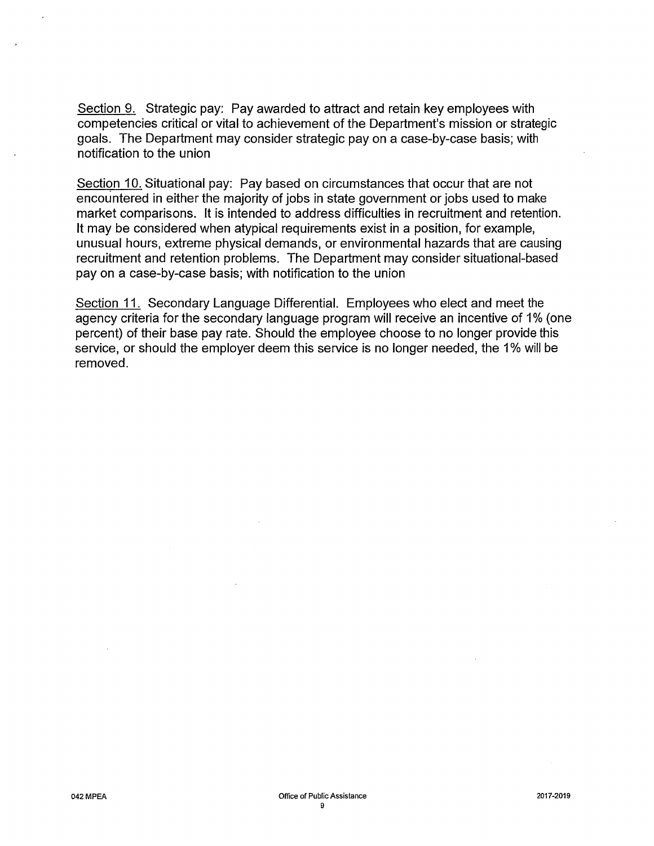Section 9. Strategic pay: Pay awarded to attract and retain key employees with competencies critical or vital to achievement of the Department's mission or strategic goals. The Department may consider strategic pay on a case-by-case basis; with notification to the union

Section 10. Situational pay: Pay based on circumstances that occur that are not encountered in either the majority of jobs in state government or jobs used to make market comparisons. It is intended to address difficulties in recruitment and retention. It may be considered when atypical requirements exist in a position, for example, unusual hours, extreme physical demands, or environmental hazards that are causing recruitment and retention problems. The Department may consider situational-based pay on a case-by-case basis; with notification to the union

Section 11. Secondary Language Differential. Employees who elect and meet the agency criteria for the secondary language program will receive an incentive of 1% (one percent) of their base pay rate. Should the employee choose to no longer provide this service, or should the employer deem this service is no longer needed, the 1% will be removed.